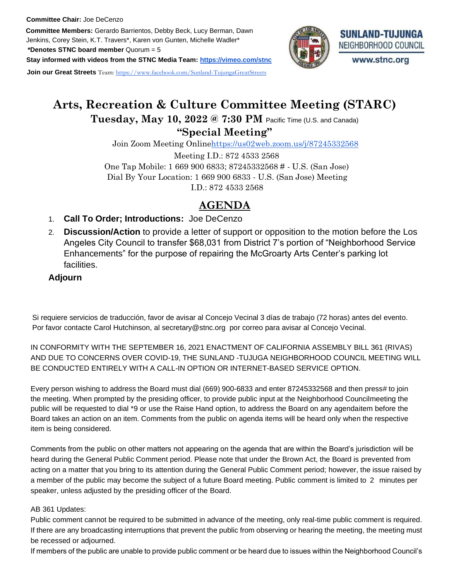**Committee Members:** Gerardo Barrientos, Debby Beck, Lucy Berman, Dawn Jenkins, Corey Stein, K.T. Travers\*, Karen von Gunten, Michelle Wadler\*

**\*Denotes STNC board member** Quorum = 5

**Stay informed with videos from the STNC Media Team: https://vimeo.com/stnc**

**Join our Great Streets** Team: https://www.facebook.com/Sunland-TujungaGreatStreets

# **SUNLAND-TUJUNGA** NEIGHBORHOOD COUNCIL www.stnc.org

# **Arts, Recreation & Culture Committee Meeting (STARC) Tuesday, May 10, 2022 @ 7:30 PM** Pacific Time (U.S. and Canada)

## **"Special Meeting"**

Join Zoom Meeting Onlinehttps://us02web.zoom.us/j/87245332568

Meeting I.D.: 872 4533 2568 One Tap Mobile: 1 669 900 6833; 87245332568 # - U.S. (San Jose) Dial By Your Location: 1 669 900 6833 - U.S. (San Jose) Meeting I.D.: 872 4533 2568

## **AGENDA**

- 1. **Call To Order; Introductions:** Joe DeCenzo
- 2. **Discussion/Action** to provide a letter of support or opposition to the motion before the Los Angeles City Council to transfer \$68,031 from District 7's portion of "Neighborhood Service Enhancements" for the purpose of repairing the McGroarty Arts Center's parking lot facilities.

## **Adjourn**

Si requiere servicios de traducción, favor de avisar al Concejo Vecinal 3 días de trabajo (72 horas) antes del evento. Por favor contacte Carol Hutchinson, al secretary@stnc.org por correo para avisar al Concejo Vecinal.

 IN CONFORMITY WITH THE SEPTEMBER 16, 2021 ENACTMENT OF CALIFORNIA ASSEMBLY BILL 361 (RIVAS) AND DUE TO CONCERNS OVER COVID-19, THE SUNLAND -TUJUGA NEIGHBORHOOD COUNCIL MEETING WILL BE CONDUCTED ENTIRELY WITH A CALL-IN OPTION OR INTERNET-BASED SERVICE OPTION.

Every person wishing to address the Board must dial (669) 900-6833 and enter 87245332568 and then press# to join the meeting. When prompted by the presiding officer, to provide public input at the Neighborhood Councilmeeting the public will be requested to dial \*9 or use the Raise Hand option, to address the Board on any agendaitem before the Board takes an action on an item. Comments from the public on agenda items will be heard only when the respective item is being considered.

 Comments from the public on other matters not appearing on the agenda that are within the Board's jurisdiction will be heard during the General Public Comment period. Please note that under the Brown Act, the Board is prevented from acting on a matter that you bring to its attention during the General Public Comment period; however, the issue raised by a member of the public may become the subject of a future Board meeting. Public comment is limited to 2 minutes per speaker, unless adjusted by the presiding officer of the Board.

### AB 361 Updates:

 Public comment cannot be required to be submitted in advance of the meeting, only real-time public comment is required. If there are any broadcasting interruptions that prevent the public from observing or hearing the meeting, the meeting must be recessed or adjourned.

If members of the public are unable to provide public comment or be heard due to issues within the Neighborhood Council's